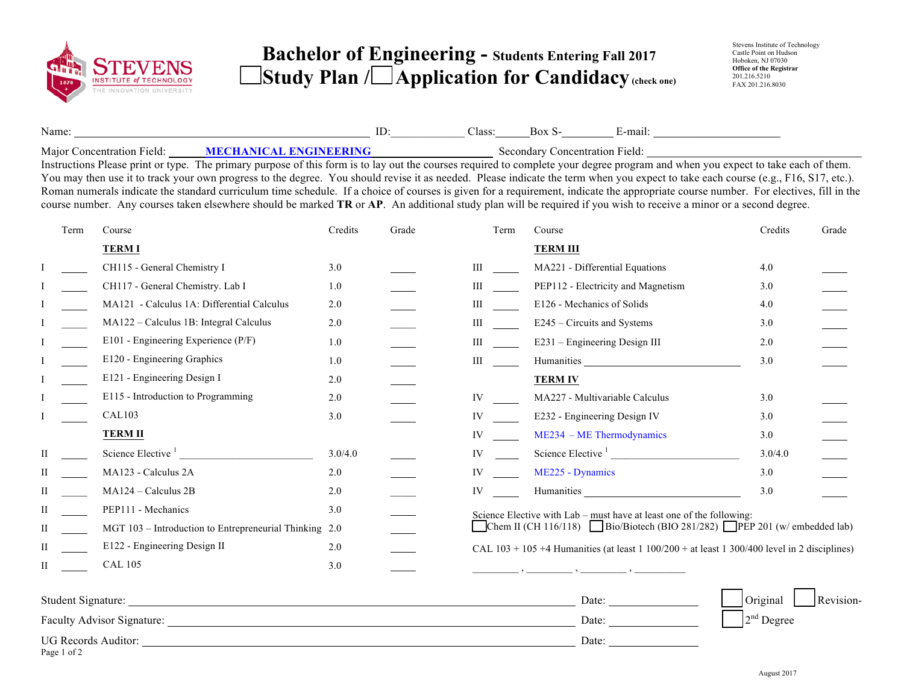

## **Bachelor of Engineering - Students Entering Fall 2017 Study Plan / Application for Candidacy (check one)**

| Name:                           | <br>موه ا'<br>Jiass.<br>DUZ | -mail                |  |
|---------------------------------|-----------------------------|----------------------|--|
| Major C<br>Concentration Field: | secondary                   | Concentration Field: |  |

Instructions Please print or type. The primary purpose of this form is to lay out the courses required to complete your degree program and when you expect to take each of them. You may then use it to track your own progress to the degree. You should revise it as needed. Please indicate the term when you expect to take each course (e.g., F16, S17, etc.). Roman numerals indicate the standard curriculum time schedule. If a choice of courses is given for a requirement, indicate the appropriate course number. For electives, fill in the course number. Any courses taken elsewhere should be marked **TR** or **AP**. An additional study plan will be required if you wish to receive a minor or a second degree.

| Term | Course                                                 | Credits | Grade | Term  | Course                                                                                                                                                                                                                         | Credits  | Grade     |
|------|--------------------------------------------------------|---------|-------|-------|--------------------------------------------------------------------------------------------------------------------------------------------------------------------------------------------------------------------------------|----------|-----------|
|      | <b>TERMI</b>                                           |         |       |       | <b>TERM III</b>                                                                                                                                                                                                                |          |           |
|      | CH115 - General Chemistry I                            | 3.0     |       | Ш     | MA221 - Differential Equations                                                                                                                                                                                                 | 4.0      |           |
|      | CH117 - General Chemistry. Lab I                       | 1.0     |       | Ш     | PEP112 - Electricity and Magnetism                                                                                                                                                                                             | 3.0      |           |
|      | MA121 - Calculus 1A: Differential Calculus             | 2.0     |       | Ш     | E126 - Mechanics of Solids                                                                                                                                                                                                     | 4.0      |           |
|      | MA122 - Calculus 1B: Integral Calculus                 | 2.0     |       | Ш     | E245 – Circuits and Systems                                                                                                                                                                                                    | 3.0      |           |
|      | E101 - Engineering Experience (P/F)                    | 1.0     |       | Ш     | E231 - Engineering Design III                                                                                                                                                                                                  | 2.0      |           |
|      | E120 - Engineering Graphics                            | 1.0     |       | Ш     |                                                                                                                                                                                                                                | 3.0      |           |
|      | E121 - Engineering Design I                            | 2.0     |       |       | <b>TERM IV</b>                                                                                                                                                                                                                 |          |           |
|      | E115 - Introduction to Programming                     | 2.0     |       | IV    | MA227 - Multivariable Calculus                                                                                                                                                                                                 | 3.0      |           |
|      | CAL103                                                 | 3.0     |       | IV    | E232 - Engineering Design IV                                                                                                                                                                                                   | 3.0      |           |
|      | <b>TERM II</b>                                         |         |       | IV    | $ME234 - ME Thermodynamics$                                                                                                                                                                                                    | 3.0      |           |
| П    | Science Elective <sup>1</sup>                          | 3.0/4.0 |       | IV    | Science Elective <sup>1</sup>                                                                                                                                                                                                  | 3.0/4.0  |           |
| Н    | MA123 - Calculus 2A                                    | 2.0     |       | IV    | ME225 - Dynamics                                                                                                                                                                                                               | 3.0      |           |
|      | MA124 - Calculus 2B                                    | 2.0     |       | IV    | Humanities Latin Communication and the communication of the communication of the communication of the communication of the communication of the communication of the communication of the communication of the communication o | 3.0      |           |
| Н    | PEP111 - Mechanics                                     | 3.0     |       |       | Science Elective with Lab – must have at least one of the following:                                                                                                                                                           |          |           |
| П    | MGT 103 - Introduction to Entrepreneurial Thinking 2.0 |         |       |       | Chem II (CH 116/118) Bio/Biotech (BIO 281/282) PEP 201 (w/ embedded lab)                                                                                                                                                       |          |           |
| Н    | E122 - Engineering Design II                           | 2.0     |       |       | CAL $103 + 105 + 4$ Humanities (at least 1 100/200 + at least 1 300/400 level in 2 disciplines)                                                                                                                                |          |           |
| H    | <b>CAL 105</b>                                         | 3.0     |       |       |                                                                                                                                                                                                                                |          |           |
|      |                                                        |         |       |       | Date:                                                                                                                                                                                                                          | Original | Revision- |
|      |                                                        |         |       | Date: | $2nd$ Degree                                                                                                                                                                                                                   |          |           |
|      | <b>UG Records Auditor:</b>                             |         |       |       | Date:                                                                                                                                                                                                                          |          |           |

Page 1 of 2